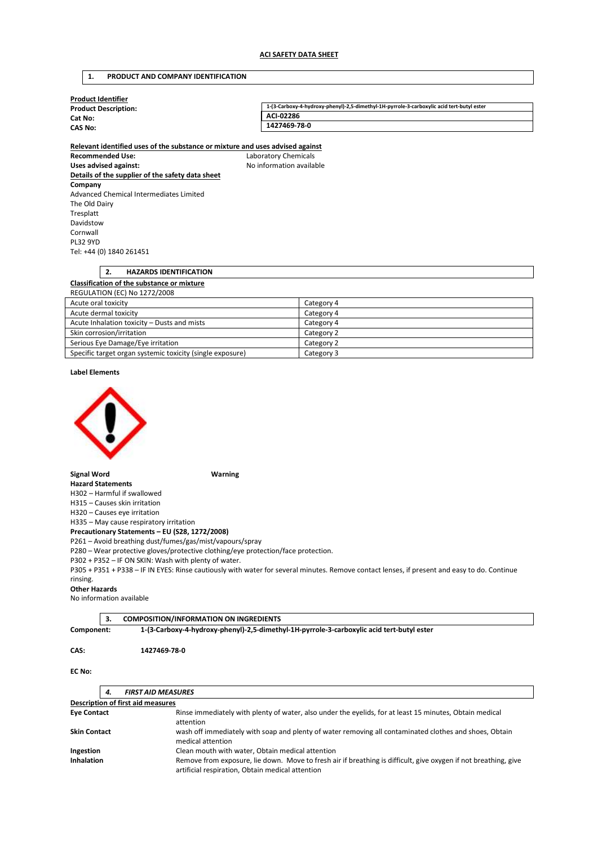## **1. PRODUCT AND COMPANY IDENTIFICATION**

| Product Identifier          |                                                                                           |
|-----------------------------|-------------------------------------------------------------------------------------------|
| <b>Product Description:</b> | 1-(3-Carboxy-4-hydroxy-phenyl)-2,5-dimethyl-1H-pyrrole-3-carboxylic acid tert-butyl ester |
| Cat No:                     | ACI-02286                                                                                 |
| CAS No:                     | 1427469-78-0                                                                              |
|                             |                                                                                           |

**Relevant identified uses of the substance or mixture and uses advised against Recommended Use:** Laboratory Chemicals Uses advised against: **No information available Details of the supplier of the safety data sheet Company**  Advanced Chemical Intermediates Limited The Old Dairy Tresplatt Davidstow Cornwall PL32 9YD Tel: +44 (0) 1840 261451

## **2. HAZARDS IDENTIFICATION Classification of the substance or mixture**  REGULATION (EC) No 1272/2008 Acute oral toxicity **Category 4** Category 4 Acute dermal toxicity Category 4 Acute Inhalation toxicity – Dusts and mists Category 4

| Skin corrosion/irritation                                 | Category 2 |
|-----------------------------------------------------------|------------|
| Serious Eye Damage/Eye irritation                         | Category 2 |
| Specific target organ systemic toxicity (single exposure) | Category 3 |

#### **Label Elements**



#### **Signal Word Warning**

**Hazard Statements**  H302 – Harmful if swallowed

H315 – Causes skin irritation H320 – Causes eye irritation

H335 – May cause respiratory irritation **Precautionary Statements – EU (S28, 1272/2008)** 

P261 – Avoid breathing dust/fumes/gas/mist/vapours/spray

P280 – Wear protective gloves/protective clothing/eye protection/face protection.

P302 + P352 – IF ON SKIN: Wash with plenty of water.

P305 + P351 + P338 – IF IN EYES: Rinse cautiously with water for several minutes. Remove contact lenses, if present and easy to do. Continue rinsing.

## **Other Hazards**

No information available

**3. COMPOSITION/INFORMATION ON INGREDIENTS** 

**Component: 1-(3-Carboxy-4-hydroxy-phenyl)-2,5-dimethyl-1H-pyrrole-3-carboxylic acid tert-butyl ester** 

#### **CAS: 1427469-78-0**

## **EC No:**

| 4.                                       | <b>FIRST AID MEASURES</b>                                                                                                                                           |  |
|------------------------------------------|---------------------------------------------------------------------------------------------------------------------------------------------------------------------|--|
| <b>Description of first aid measures</b> |                                                                                                                                                                     |  |
| <b>Eye Contact</b>                       | Rinse immediately with plenty of water, also under the eyelids, for at least 15 minutes, Obtain medical<br>attention                                                |  |
| <b>Skin Contact</b>                      | wash off immediately with soap and plenty of water removing all contaminated clothes and shoes, Obtain<br>medical attention                                         |  |
| Ingestion                                | Clean mouth with water, Obtain medical attention                                                                                                                    |  |
| <b>Inhalation</b>                        | Remove from exposure, lie down. Move to fresh air if breathing is difficult, give oxygen if not breathing, give<br>artificial respiration, Obtain medical attention |  |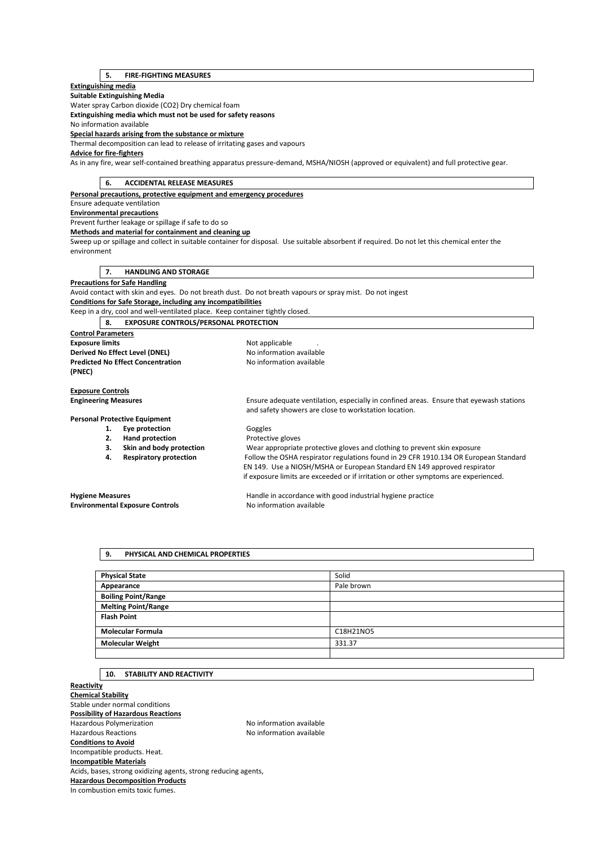# **5. FIRE-FIGHTING MEASURES**

## **Extinguishing media**

**Suitable Extinguishing Media** 

Water spray Carbon dioxide (CO2) Dry chemical foam

**Extinguishing media which must not be used for safety reasons** 

No information available

**Special hazards arising from the substance or mixture** 

Thermal decomposition can lead to release of irritating gases and vapours

# **Advice for fire-fighters**

As in any fire, wear self-contained breathing apparatus pressure-demand, MSHA/NIOSH (approved or equivalent) and full protective gear.

| 6.<br><b>ACCIDENTAL RELEASE MEASURES</b>                                      |                                                                                                                                             |
|-------------------------------------------------------------------------------|---------------------------------------------------------------------------------------------------------------------------------------------|
| Personal precautions, protective equipment and emergency procedures           |                                                                                                                                             |
| Ensure adequate ventilation                                                   |                                                                                                                                             |
| <b>Environmental precautions</b>                                              |                                                                                                                                             |
| Prevent further leakage or spillage if safe to do so                          |                                                                                                                                             |
| Methods and material for containment and cleaning up                          |                                                                                                                                             |
|                                                                               | Sweep up or spillage and collect in suitable container for disposal. Use suitable absorbent if required. Do not let this chemical enter the |
| environment                                                                   |                                                                                                                                             |
|                                                                               |                                                                                                                                             |
| <b>HANDLING AND STORAGE</b><br>7.                                             |                                                                                                                                             |
| <b>Precautions for Safe Handling</b>                                          |                                                                                                                                             |
|                                                                               | Avoid contact with skin and eyes. Do not breath dust. Do not breath vapours or spray mist. Do not ingest                                    |
| Conditions for Safe Storage, including any incompatibilities                  |                                                                                                                                             |
| Keep in a dry, cool and well-ventilated place. Keep container tightly closed. |                                                                                                                                             |
| <b>EXPOSURE CONTROLS/PERSONAL PROTECTION</b><br>8.                            |                                                                                                                                             |
| <b>Control Parameters</b>                                                     |                                                                                                                                             |
| <b>Exposure limits</b><br>Not applicable                                      |                                                                                                                                             |
| Derived No Effect Level (DNEL)                                                | No information available                                                                                                                    |
| <b>Predicted No Effect Concentration</b>                                      | No information available                                                                                                                    |
| (PNEC)                                                                        |                                                                                                                                             |
|                                                                               |                                                                                                                                             |
| <b>Exposure Controls</b>                                                      |                                                                                                                                             |
| <b>Engineering Measures</b>                                                   | Ensure adequate ventilation, especially in confined areas. Ensure that eyewash stations                                                     |
|                                                                               | and safety showers are close to workstation location.                                                                                       |
| <b>Personal Protective Equipment</b>                                          |                                                                                                                                             |
| Eye protection<br>1.                                                          | Goggles                                                                                                                                     |
| <b>Hand protection</b><br>2.                                                  | Protective gloves                                                                                                                           |
| Skin and body protection<br>3.                                                | Wear appropriate protective gloves and clothing to prevent skin exposure                                                                    |
| <b>Respiratory protection</b><br>4.                                           | Follow the OSHA respirator regulations found in 29 CFR 1910.134 OR European Standard                                                        |
|                                                                               | EN 149. Use a NIOSH/MSHA or European Standard EN 149 approved respirator                                                                    |
|                                                                               | if exposure limits are exceeded or if irritation or other symptoms are experienced.                                                         |
| <b>Hygiene Measures</b>                                                       | Handle in accordance with good industrial hygiene practice                                                                                  |
| <b>Environmental Exposure Controls</b>                                        | No information available                                                                                                                    |
|                                                                               |                                                                                                                                             |

| <b>Physical State</b>      | Solid      |
|----------------------------|------------|
| Appearance                 | Pale brown |
| <b>Boiling Point/Range</b> |            |
| <b>Melting Point/Range</b> |            |
| <b>Flash Point</b>         |            |
| <b>Molecular Formula</b>   | C18H21NO5  |
| <b>Molecular Weight</b>    | 331.37     |
|                            |            |

# **10. STABILITY AND REACTIVITY**

**9. PHYSICAL AND CHEMICAL PROPERTIES** 

**Reactivity Chemical Stability**  Stable under normal conditions **Possibility of Hazardous Reactions**  Hazardous Polymerization and the Society of the No information available<br>Hazardous Reactions available No information available No information available **Conditions to Avoid**  Incompatible products. Heat. **Incompatible Materials**  Acids, bases, strong oxidizing agents, strong reducing agents, **Hazardous Decomposition Products**  In combustion emits toxic fumes.